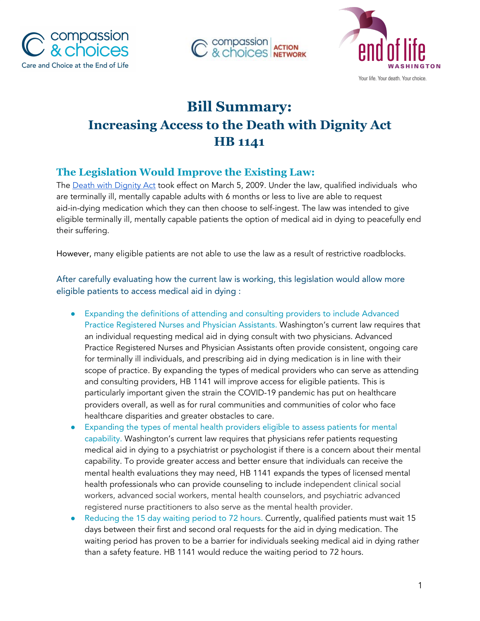





# **Bill Summary: Increasing Access to the Death with Dignity Act HB 1141**

## **The Legislation Would Improve the Existing Law:**

The Death with [Dignity](https://app.leg.wa.gov/rcw/default.aspx?cite=70.245) Act took effect on March 5, 2009. Under the law, qualified individuals who are terminally ill, mentally capable adults with 6 months or less to live are able to request aid-in-dying medication which they can then choose to self-ingest. The law was intended to give eligible terminally ill, mentally capable patients the option of medical aid in dying to peacefully end their suffering.

However, many eligible patients are not able to use the law as a result of restrictive roadblocks.

After carefully evaluating how the current law is working, this legislation would allow more eligible patients to access medical aid in dying :

- **●** Expanding the definitions of attending and consulting providers to include Advanced Practice Registered Nurses and Physician Assistants. Washington's current law requires that an individual requesting medical aid in dying consult with two physicians. Advanced Practice Registered Nurses and Physician Assistants often provide consistent, ongoing care for terminally ill individuals, and prescribing aid in dying medication is in line with their scope of practice. By expanding the types of medical providers who can serve as attending and consulting providers, HB 1141 will improve access for eligible patients. This is particularly important given the strain the COVID-19 pandemic has put on healthcare providers overall, as well as for rural communities and communities of color who face healthcare disparities and greater obstacles to care.
- Expanding the types of mental health providers eligible to assess patients for mental capability. Washington's current law requires that physicians refer patients requesting medical aid in dying to a psychiatrist or psychologist if there is a concern about their mental capability. To provide greater access and better ensure that individuals can receive the mental health evaluations they may need, HB 1141 expands the types of licensed mental health professionals who can provide counseling to include independent clinical social workers, advanced social workers, mental health counselors, and psychiatric advanced registered nurse practitioners to also serve as the mental health provider.
- Reducing the 15 day waiting period to 72 hours. Currently, qualified patients must wait 15 days between their first and second oral requests for the aid in dying medication. The waiting period has proven to be a barrier for individuals seeking medical aid in dying rather than a safety feature. HB 1141 would reduce the waiting period to 72 hours.